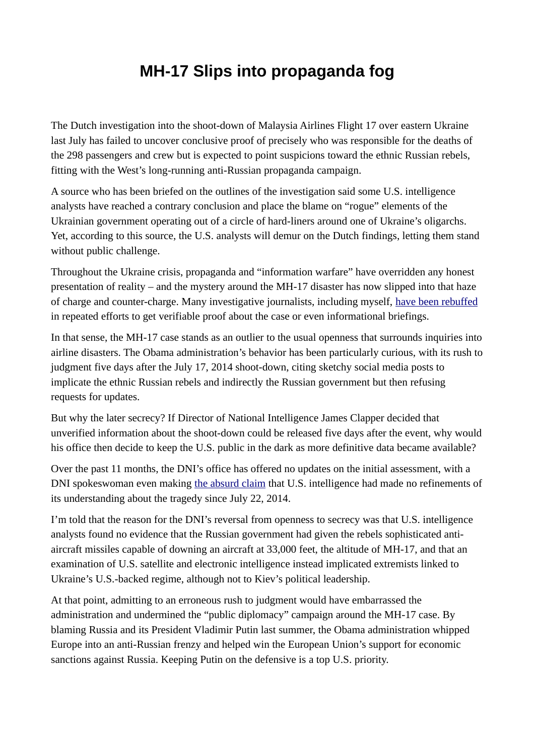## **MH-17 Slips into propaganda fog**

The Dutch investigation into the shoot-down of Malaysia Airlines Flight 17 over eastern Ukraine last July has failed to uncover conclusive proof of precisely who was responsible for the deaths of the 298 passengers and crew but is expected to point suspicions toward the ethnic Russian rebels, fitting with the West's long-running anti-Russian propaganda campaign.

A source who has been briefed on the outlines of the investigation said some U.S. intelligence analysts have reached a contrary conclusion and place the blame on "rogue" elements of the Ukrainian government operating out of a circle of hard-liners around one of Ukraine's oligarchs. Yet, according to this source, the U.S. analysts will demur on the Dutch findings, letting them stand without public challenge.

Throughout the Ukraine crisis, propaganda and "information warfare" have overridden any honest presentation of reality – and the mystery around the MH-17 disaster has now slipped into that haze of charge and counter-charge. Many investigative journalists, including myself, [have been rebuffed](http://www.globalresearch.ca/the-mh17-airline-crash-methodology-of-an-international-cover-up/5460126) in repeated efforts to get verifiable proof about the case or even informational briefings.

In that sense, the MH-17 case stands as an outlier to the usual openness that surrounds inquiries into airline disasters. The Obama administration's behavior has been particularly curious, with its rush to judgment five days after the July 17, 2014 shoot-down, citing sketchy social media posts to implicate the ethnic Russian rebels and indirectly the Russian government but then refusing requests for updates.

But why the later secrecy? If Director of National Intelligence James Clapper decided that unverified information about the shoot-down could be released five days after the event, why would his office then decide to keep the U.S. public in the dark as more definitive data became available?

Over the past 11 months, the DNI's office has offered no updates on the initial assessment, with a DNI spokeswoman even making [the absurd claim](https://consortiumnews.com/2015/03/14/us-intel-stands-pat-on-mh-17-shoot-down/) that U.S. intelligence had made no refinements of its understanding about the tragedy since July 22, 2014.

I'm told that the reason for the DNI's reversal from openness to secrecy was that U.S. intelligence analysts found no evidence that the Russian government had given the rebels sophisticated antiaircraft missiles capable of downing an aircraft at 33,000 feet, the altitude of MH-17, and that an examination of U.S. satellite and electronic intelligence instead implicated extremists linked to Ukraine's U.S.-backed regime, although not to Kiev's political leadership.

At that point, admitting to an erroneous rush to judgment would have embarrassed the administration and undermined the "public diplomacy" campaign around the MH-17 case. By blaming Russia and its President Vladimir Putin last summer, the Obama administration whipped Europe into an anti-Russian frenzy and helped win the European Union's support for economic sanctions against Russia. Keeping Putin on the defensive is a top U.S. priority.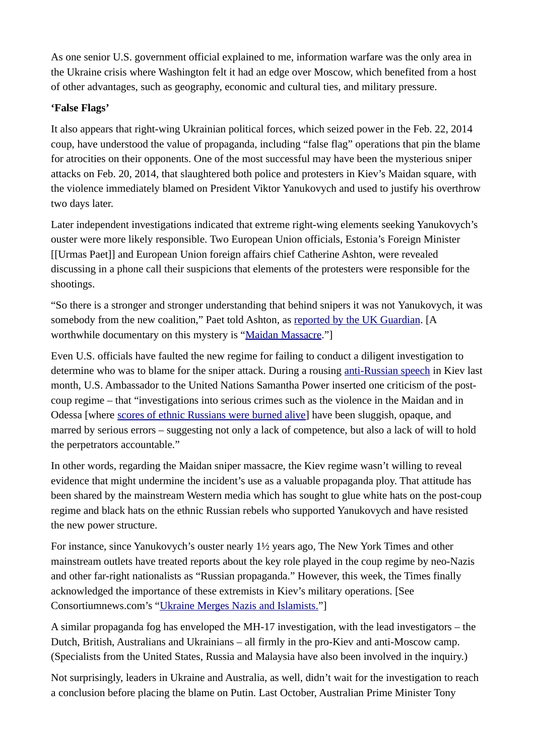As one senior U.S. government official explained to me, information warfare was the only area in the Ukraine crisis where Washington felt it had an edge over Moscow, which benefited from a host of other advantages, such as geography, economic and cultural ties, and military pressure.

## **'False Flags'**

It also appears that right-wing Ukrainian political forces, which seized power in the Feb. 22, 2014 coup, have understood the value of propaganda, including "false flag" operations that pin the blame for atrocities on their opponents. One of the most successful may have been the mysterious sniper attacks on Feb. 20, 2014, that slaughtered both police and protesters in Kiev's Maidan square, with the violence immediately blamed on President Viktor Yanukovych and used to justify his overthrow two days later.

Later independent investigations indicated that extreme right-wing elements seeking Yanukovych's ouster were more likely responsible. Two European Union officials, Estonia's Foreign Minister [[Urmas Paet]] and European Union foreign affairs chief Catherine Ashton, were revealed discussing in a phone call their suspicions that elements of the protesters were responsible for the shootings.

"So there is a stronger and stronger understanding that behind snipers it was not Yanukovych, it was somebody from the new coalition," Paet told Ashton, as [reported by the UK Guardian.](http://www.theguardian.com/world/2014/mar/05/ukraine-bugged-call-catherine-ashton-urmas-paet) [A worthwhile documentary on this mystery is ["Maidan Massacre.](http://www.imdb.com/title/tt4052016/)"]

Even U.S. officials have faulted the new regime for failing to conduct a diligent investigation to determine who was to blame for the sniper attack. During a rousing [anti-Russian speech](https://consortiumnews.com/2015/06/15/samantha-power-liberal-war-hawk/) in Kiev last month, U.S. Ambassador to the United Nations Samantha Power inserted one criticism of the postcoup regime – that "investigations into serious crimes such as the violence in the Maidan and in Odessa [where [scores of ethnic Russians were burned alive\]](https://consortiumnews.com/2014/05/05/ukraines-dr-strangelove-reality/) have been sluggish, opaque, and marred by serious errors – suggesting not only a lack of competence, but also a lack of will to hold the perpetrators accountable."

In other words, regarding the Maidan sniper massacre, the Kiev regime wasn't willing to reveal evidence that might undermine the incident's use as a valuable propaganda ploy. That attitude has been shared by the mainstream Western media which has sought to glue white hats on the post-coup regime and black hats on the ethnic Russian rebels who supported Yanukovych and have resisted the new power structure.

For instance, since Yanukovych's ouster nearly 1½ years ago, The New York Times and other mainstream outlets have treated reports about the key role played in the coup regime by neo-Nazis and other far-right nationalists as "Russian propaganda." However, this week, the Times finally acknowledged the importance of these extremists in Kiev's military operations. [See Consortiumnews.com's ["Ukraine Merges Nazis and Islamists."](https://consortiumnews.com/2015/07/07/ukraine-merges-nazis-and-islamists/)]

A similar propaganda fog has enveloped the MH-17 investigation, with the lead investigators – the Dutch, British, Australians and Ukrainians – all firmly in the pro-Kiev and anti-Moscow camp. (Specialists from the United States, Russia and Malaysia have also been involved in the inquiry.)

Not surprisingly, leaders in Ukraine and Australia, as well, didn't wait for the investigation to reach a conclusion before placing the blame on Putin. Last October, Australian Prime Minister Tony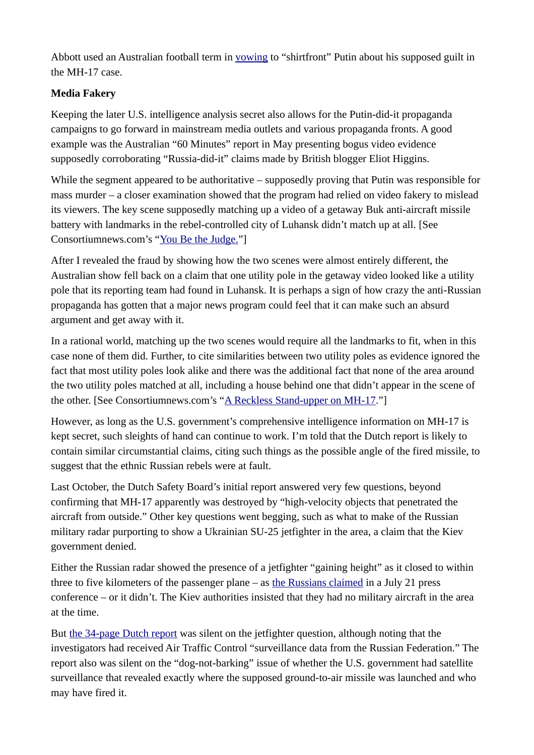Abbott used an Australian football term in [vowing](http://www.cnn.com/2014/10/14/world/asia/australia-russia-abbott-putin-shirt-front/) to "shirtfront" Putin about his supposed guilt in the MH-17 case.

## **Media Fakery**

Keeping the later U.S. intelligence analysis secret also allows for the Putin-did-it propaganda campaigns to go forward in mainstream media outlets and various propaganda fronts. A good example was the Australian "60 Minutes" report in May presenting bogus video evidence supposedly corroborating "Russia-did-it" claims made by British blogger Eliot Higgins.

While the segment appeared to be authoritative – supposedly proving that Putin was responsible for mass murder – a closer examination showed that the program had relied on video fakery to mislead its viewers. The key scene supposedly matching up a video of a getaway Buk anti-aircraft missile battery with landmarks in the rebel-controlled city of Luhansk didn't match up at all. [See Consortiumnews.com's ["You Be the Judge."](https://consortiumnews.com/2015/05/20/you-be-the-judge/)]

After I revealed the fraud by showing how the two scenes were almost entirely different, the Australian show fell back on a claim that one utility pole in the getaway video looked like a utility pole that its reporting team had found in Luhansk. It is perhaps a sign of how crazy the anti-Russian propaganda has gotten that a major news program could feel that it can make such an absurd argument and get away with it.

In a rational world, matching up the two scenes would require all the landmarks to fit, when in this case none of them did. Further, to cite similarities between two utility poles as evidence ignored the fact that most utility poles look alike and there was the additional fact that none of the area around the two utility poles matched at all, including a house behind one that didn't appear in the scene of the other. [See Consortiumnews.com's ["A Reckless Stand-upper on MH-17.](https://consortiumnews.com/2015/05/28/a-reckless-stand-upper-on-mh-17/)"]

However, as long as the U.S. government's comprehensive intelligence information on MH-17 is kept secret, such sleights of hand can continue to work. I'm told that the Dutch report is likely to contain similar circumstantial claims, citing such things as the possible angle of the fired missile, to suggest that the ethnic Russian rebels were at fault.

Last October, the Dutch Safety Board's initial report answered very few questions, beyond confirming that MH-17 apparently was destroyed by "high-velocity objects that penetrated the aircraft from outside." Other key questions went begging, such as what to make of the Russian military radar purporting to show a Ukrainian SU-25 jetfighter in the area, a claim that the Kiev government denied.

Either the Russian radar showed the presence of a jetfighter "gaining height" as it closed to within three to five kilometers of the passenger plane  $-$  as [the Russians claimed](http://rt.com/news/174412-malaysia-plane-russia-ukraine/) in a July 21 press conference – or it didn't. The Kiev authorities insisted that they had no military aircraft in the area at the time.

But [the 34-page Dutch report](https://wikispooks.com/wiki/File:MH17_preliminary_report.pdf) was silent on the jetfighter question, although noting that the investigators had received Air Traffic Control "surveillance data from the Russian Federation." The report also was silent on the "dog-not-barking" issue of whether the U.S. government had satellite surveillance that revealed exactly where the supposed ground-to-air missile was launched and who may have fired it.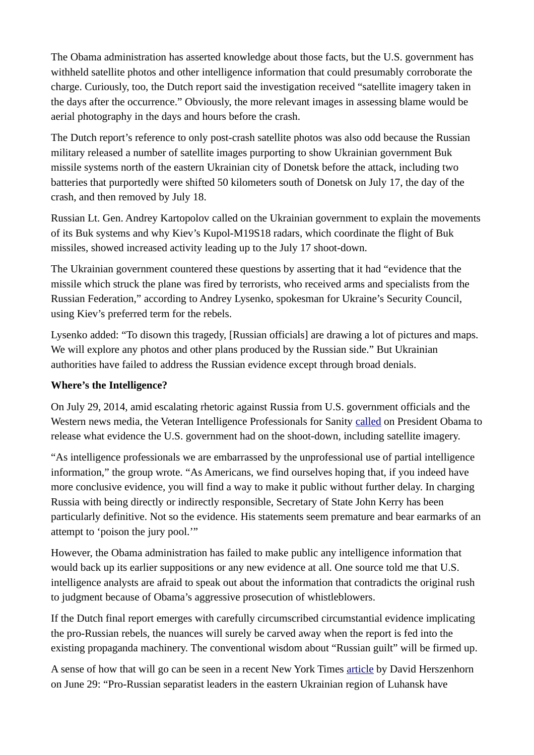The Obama administration has asserted knowledge about those facts, but the U.S. government has withheld satellite photos and other intelligence information that could presumably corroborate the charge. Curiously, too, the Dutch report said the investigation received "satellite imagery taken in the days after the occurrence." Obviously, the more relevant images in assessing blame would be aerial photography in the days and hours before the crash.

The Dutch report's reference to only post-crash satellite photos was also odd because the Russian military released a number of satellite images purporting to show Ukrainian government Buk missile systems north of the eastern Ukrainian city of Donetsk before the attack, including two batteries that purportedly were shifted 50 kilometers south of Donetsk on July 17, the day of the crash, and then removed by July 18.

Russian Lt. Gen. Andrey Kartopolov called on the Ukrainian government to explain the movements of its Buk systems and why Kiev's Kupol-M19S18 radars, which coordinate the flight of Buk missiles, showed increased activity leading up to the July 17 shoot-down.

The Ukrainian government countered these questions by asserting that it had "evidence that the missile which struck the plane was fired by terrorists, who received arms and specialists from the Russian Federation," according to Andrey Lysenko, spokesman for Ukraine's Security Council, using Kiev's preferred term for the rebels.

Lysenko added: "To disown this tragedy, [Russian officials] are drawing a lot of pictures and maps. We will explore any photos and other plans produced by the Russian side." But Ukrainian authorities have failed to address the Russian evidence except through broad denials.

## **Where's the Intelligence?**

On July 29, 2014, amid escalating rhetoric against Russia from U.S. government officials and the Western news media, the Veteran Intelligence Professionals for Sanity [called](http://consortiumnews.com/2014/07/29/obama-should-release-ukraine-evidence/) on President Obama to release what evidence the U.S. government had on the shoot-down, including satellite imagery.

"As intelligence professionals we are embarrassed by the unprofessional use of partial intelligence information," the group wrote. "As Americans, we find ourselves hoping that, if you indeed have more conclusive evidence, you will find a way to make it public without further delay. In charging Russia with being directly or indirectly responsible, Secretary of State John Kerry has been particularly definitive. Not so the evidence. His statements seem premature and bear earmarks of an attempt to 'poison the jury pool.'"

However, the Obama administration has failed to make public any intelligence information that would back up its earlier suppositions or any new evidence at all. One source told me that U.S. intelligence analysts are afraid to speak out about the information that contradicts the original rush to judgment because of Obama's aggressive prosecution of whistleblowers.

If the Dutch final report emerges with carefully circumscribed circumstantial evidence implicating the pro-Russian rebels, the nuances will surely be carved away when the report is fed into the existing propaganda machinery. The conventional wisdom about "Russian guilt" will be firmed up.

A sense of how that will go can be seen in a recent New York Times [article](http://www.nytimes.com/2015/06/29/world/europe/dutch-say-inquiry-into-malaysia-jet-crash-is-being-blocked-in-ukraine.html?ref=topics) by David Herszenhorn on June 29: "Pro-Russian separatist leaders in the eastern Ukrainian region of Luhansk have